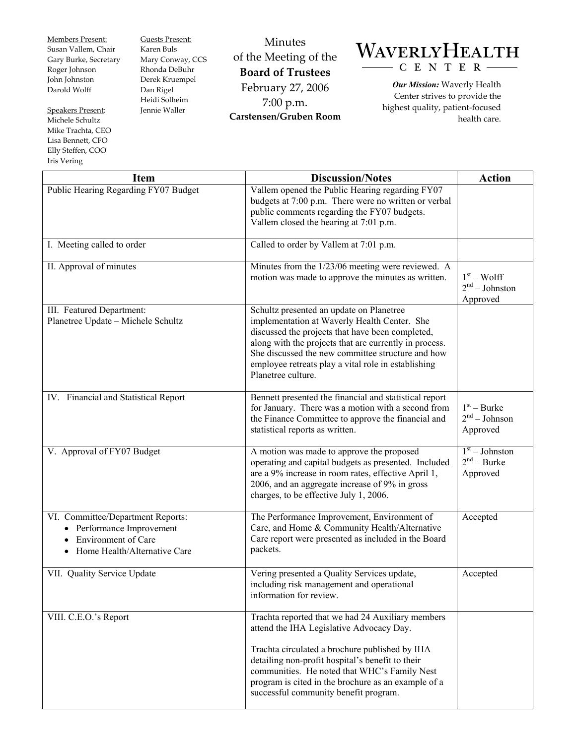Members Present: Susan Vallem, Chair Gary Burke, Secretary Roger Johnson John Johnston Darold Wolff

Speakers Present: Michele Schultz Mike Trachta, CEO Lisa Bennett, CFO Elly Steffen, COO Iris Vering

 $\mathbf{I}$ 

Guests Present: Karen Buls Mary Conway, CCS Rhonda DeBuhr Derek Kruempel Dan Rigel Heidi Solheim Jennie Waller

Minutes of the Meeting of the **Board of Trustees**  February 27, 2006 7:00 p.m. **Carstensen/Gruben Room** 



*Our Mission:* Waverly Health Center strives to provide the highest quality, patient-focused health care.

| <b>Item</b>                                                                                                                | <b>Discussion/Notes</b>                                                                                                                                                                                                                                                                                                                             | <b>Action</b>                                 |
|----------------------------------------------------------------------------------------------------------------------------|-----------------------------------------------------------------------------------------------------------------------------------------------------------------------------------------------------------------------------------------------------------------------------------------------------------------------------------------------------|-----------------------------------------------|
| Public Hearing Regarding FY07 Budget                                                                                       | Vallem opened the Public Hearing regarding FY07<br>budgets at 7:00 p.m. There were no written or verbal<br>public comments regarding the FY07 budgets.<br>Vallem closed the hearing at 7:01 p.m.                                                                                                                                                    |                                               |
| I. Meeting called to order                                                                                                 | Called to order by Vallem at 7:01 p.m.                                                                                                                                                                                                                                                                                                              |                                               |
| II. Approval of minutes                                                                                                    | Minutes from the 1/23/06 meeting were reviewed. A<br>motion was made to approve the minutes as written.                                                                                                                                                                                                                                             | $1st - Wolf$<br>$2nd - Johnston$<br>Approved  |
| III. Featured Department:<br>Planetree Update - Michele Schultz                                                            | Schultz presented an update on Planetree<br>implementation at Waverly Health Center. She<br>discussed the projects that have been completed,<br>along with the projects that are currently in process.<br>She discussed the new committee structure and how<br>employee retreats play a vital role in establishing<br>Planetree culture.            |                                               |
| IV. Financial and Statistical Report                                                                                       | Bennett presented the financial and statistical report<br>for January. There was a motion with a second from<br>the Finance Committee to approve the financial and<br>statistical reports as written.                                                                                                                                               | $1st$ – Burke<br>$2nd - Johnson$<br>Approved  |
| V. Approval of FY07 Budget                                                                                                 | A motion was made to approve the proposed<br>operating and capital budgets as presented. Included<br>are a 9% increase in room rates, effective April 1,<br>2006, and an aggregate increase of 9% in gross<br>charges, to be effective July 1, 2006.                                                                                                | $1st - Johnston$<br>$2nd - Burke$<br>Approved |
| VI. Committee/Department Reports:<br>Performance Improvement<br><b>Environment of Care</b><br>Home Health/Alternative Care | The Performance Improvement, Environment of<br>Care, and Home & Community Health/Alternative<br>Care report were presented as included in the Board<br>packets.                                                                                                                                                                                     | Accepted                                      |
| VII. Quality Service Update                                                                                                | Vering presented a Quality Services update,<br>including risk management and operational<br>information for review.                                                                                                                                                                                                                                 | Accepted                                      |
| VIII. C.E.O.'s Report                                                                                                      | Trachta reported that we had 24 Auxiliary members<br>attend the IHA Legislative Advocacy Day.<br>Trachta circulated a brochure published by IHA<br>detailing non-profit hospital's benefit to their<br>communities. He noted that WHC's Family Nest<br>program is cited in the brochure as an example of a<br>successful community benefit program. |                                               |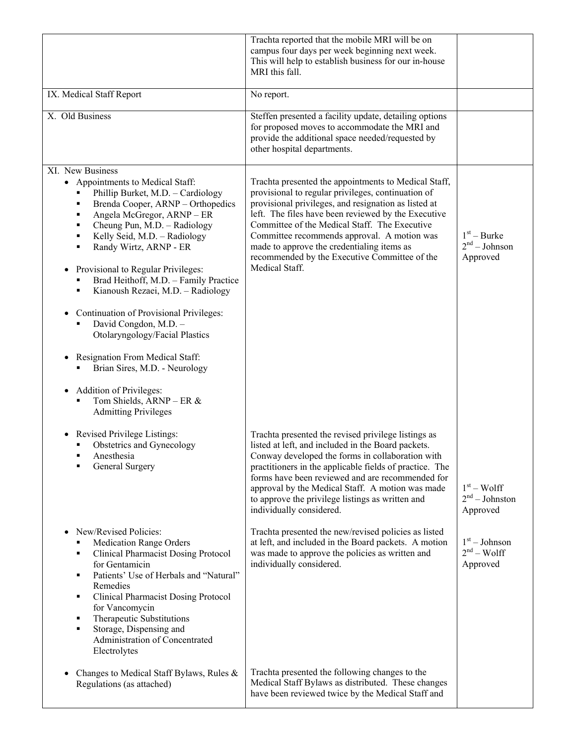|                                                                                                                                                                                                                                                                                                                                                                                                                                                                                                                                                                                                                                        | Trachta reported that the mobile MRI will be on<br>campus four days per week beginning next week.<br>This will help to establish business for our in-house<br>MRI this fall.                                                                                                                                                                                                                                                               |                                              |
|----------------------------------------------------------------------------------------------------------------------------------------------------------------------------------------------------------------------------------------------------------------------------------------------------------------------------------------------------------------------------------------------------------------------------------------------------------------------------------------------------------------------------------------------------------------------------------------------------------------------------------------|--------------------------------------------------------------------------------------------------------------------------------------------------------------------------------------------------------------------------------------------------------------------------------------------------------------------------------------------------------------------------------------------------------------------------------------------|----------------------------------------------|
| IX. Medical Staff Report                                                                                                                                                                                                                                                                                                                                                                                                                                                                                                                                                                                                               | No report.                                                                                                                                                                                                                                                                                                                                                                                                                                 |                                              |
| X. Old Business                                                                                                                                                                                                                                                                                                                                                                                                                                                                                                                                                                                                                        | Steffen presented a facility update, detailing options<br>for proposed moves to accommodate the MRI and<br>provide the additional space needed/requested by<br>other hospital departments.                                                                                                                                                                                                                                                 |                                              |
| XI. New Business<br>• Appointments to Medical Staff:<br>Phillip Burket, M.D. - Cardiology<br>Brenda Cooper, ARNP - Orthopedics<br>٠<br>Angela McGregor, ARNP - ER<br>٠<br>Cheung Pun, M.D. - Radiology<br>٠<br>Kelly Seid, M.D. - Radiology<br>٠<br>Randy Wirtz, ARNP - ER<br>$\blacksquare$<br>Provisional to Regular Privileges:<br>$\bullet$<br>Brad Heithoff, M.D. - Family Practice<br>Kianoush Rezaei, M.D. - Radiology<br>٠<br>Continuation of Provisional Privileges:<br>$\bullet$<br>David Congdon, M.D. -<br>Otolaryngology/Facial Plastics<br>Resignation From Medical Staff:<br>$\bullet$<br>Brian Sires, M.D. - Neurology | Trachta presented the appointments to Medical Staff,<br>provisional to regular privileges, continuation of<br>provisional privileges, and resignation as listed at<br>left. The files have been reviewed by the Executive<br>Committee of the Medical Staff. The Executive<br>Committee recommends approval. A motion was<br>made to approve the credentialing items as<br>recommended by the Executive Committee of the<br>Medical Staff. | $1st - Burke$<br>$2nd - Johnson$<br>Approved |
| Addition of Privileges:<br>٠<br>Tom Shields, ARNP - ER &<br><b>Admitting Privileges</b>                                                                                                                                                                                                                                                                                                                                                                                                                                                                                                                                                |                                                                                                                                                                                                                                                                                                                                                                                                                                            |                                              |
| Revised Privilege Listings:<br>Obstetrics and Gynecology<br>Anesthesia<br>General Surgery<br>٠                                                                                                                                                                                                                                                                                                                                                                                                                                                                                                                                         | Trachta presented the revised privilege listings as<br>listed at left, and included in the Board packets.<br>Conway developed the forms in collaboration with<br>practitioners in the applicable fields of practice. The<br>forms have been reviewed and are recommended for<br>approval by the Medical Staff. A motion was made<br>to approve the privilege listings as written and<br>individually considered.                           | $1st - Wolf$<br>$2nd - Johnston$<br>Approved |
| New/Revised Policies:<br>$\bullet$<br><b>Medication Range Orders</b><br>Ξ<br><b>Clinical Pharmacist Dosing Protocol</b><br>٠<br>for Gentamicin<br>Patients' Use of Herbals and "Natural"<br>٠<br>Remedies<br>Clinical Pharmacist Dosing Protocol<br>٠<br>for Vancomycin<br>Therapeutic Substitutions<br>٠<br>Storage, Dispensing and<br>٠<br>Administration of Concentrated<br>Electrolytes                                                                                                                                                                                                                                            | Trachta presented the new/revised policies as listed<br>at left, and included in the Board packets. A motion<br>was made to approve the policies as written and<br>individually considered.                                                                                                                                                                                                                                                | $1st - Johnson$<br>$2nd - Wolf$<br>Approved  |
| Changes to Medical Staff Bylaws, Rules &<br>$\bullet$<br>Regulations (as attached)                                                                                                                                                                                                                                                                                                                                                                                                                                                                                                                                                     | Trachta presented the following changes to the<br>Medical Staff Bylaws as distributed. These changes<br>have been reviewed twice by the Medical Staff and                                                                                                                                                                                                                                                                                  |                                              |